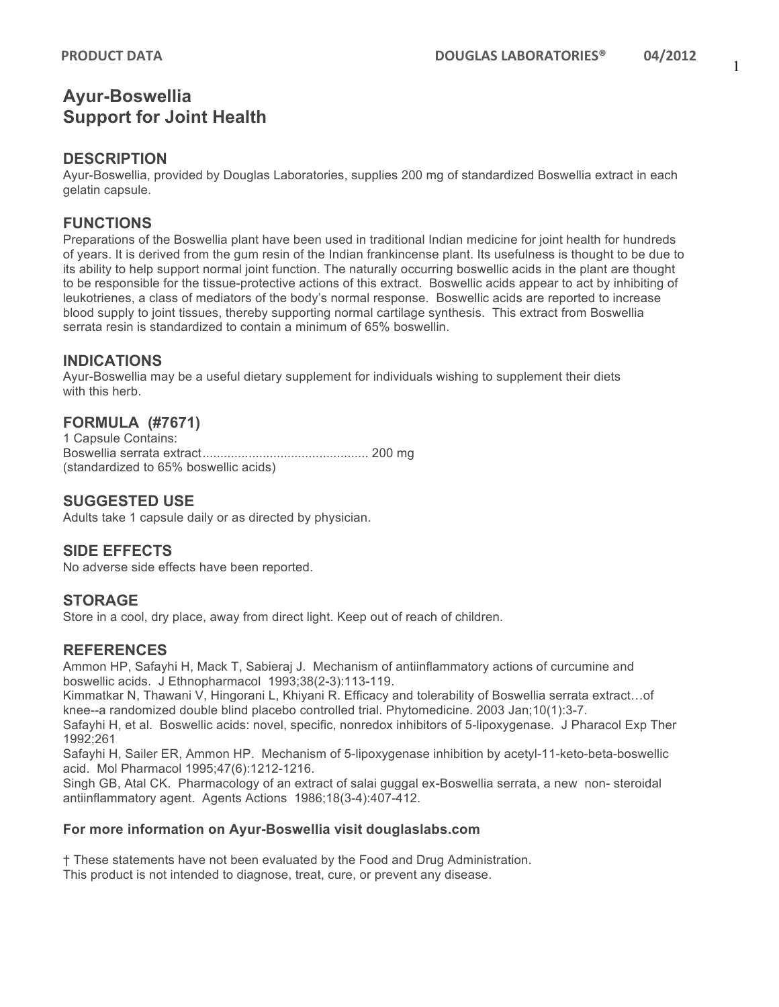## **Ayur-Boswellia Support for Joint Health**

## **DESCRIPTION**

Ayur-Boswellia, provided by Douglas Laboratories, supplies 200 mg of standardized Boswellia extract in each gelatin capsule.

## **FUNCTIONS**

Preparations of the Boswellia plant have been used in traditional Indian medicine for joint health for hundreds of years. It is derived from the gum resin of the Indian frankincense plant. Its usefulness is thought to be due to its ability to help support normal joint function. The naturally occurring boswellic acids in the plant are thought to be responsible for the tissue-protective actions of this extract. Boswellic acids appear to act by inhibiting of leukotrienes, a class of mediators of the body's normal response. Boswellic acids are reported to increase blood supply to joint tissues, thereby supporting normal cartilage synthesis. This extract from Boswellia serrata resin is standardized to contain a minimum of 65% boswellin.

## **INDICATIONS**

Ayur-Boswellia may be a useful dietary supplement for individuals wishing to supplement their diets with this herb.

## **FORMULA (#7671)**

1 Capsule Contains: Boswellia serrata extract............................................... 200 mg (standardized to 65% boswellic acids)

## **SUGGESTED USE**

Adults take 1 capsule daily or as directed by physician.

## **SIDE EFFECTS**

No adverse side effects have been reported.

## **STORAGE**

Store in a cool, dry place, away from direct light. Keep out of reach of children.

## **REFERENCES**

Ammon HP, Safayhi H, Mack T, Sabieraj J. Mechanism of antiinflammatory actions of curcumine and boswellic acids. J Ethnopharmacol 1993;38(2-3):113-119.

Kimmatkar N, Thawani V, Hingorani L, Khiyani R. Efficacy and tolerability of Boswellia serrata extract…of knee--a randomized double blind placebo controlled trial. Phytomedicine. 2003 Jan;10(1):3-7.

Safayhi H, et al. Boswellic acids: novel, specific, nonredox inhibitors of 5-lipoxygenase. J Pharacol Exp Ther 1992;261

Safayhi H, Sailer ER, Ammon HP. Mechanism of 5-lipoxygenase inhibition by acetyl-11-keto-beta-boswellic acid. Mol Pharmacol 1995;47(6):1212-1216.

Singh GB, Atal CK. Pharmacology of an extract of salai guggal ex-Boswellia serrata, a new non- steroidal antiinflammatory agent. Agents Actions 1986;18(3-4):407-412.

#### **For more information on Ayur-Boswellia visit douglaslabs.com**

† These statements have not been evaluated by the Food and Drug Administration. This product is not intended to diagnose, treat, cure, or prevent any disease.